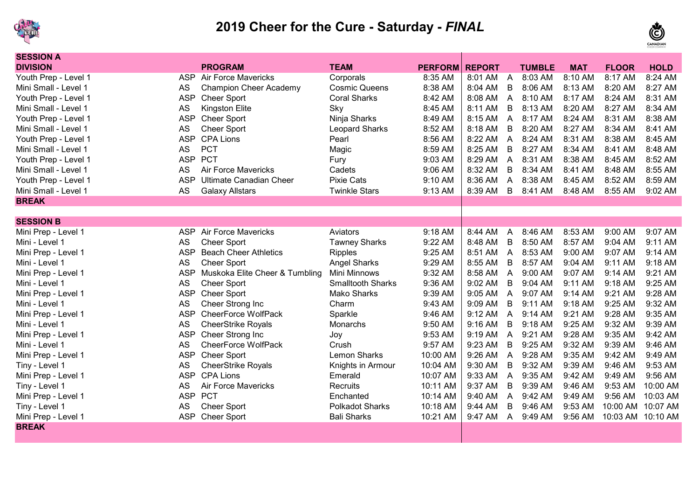



| <b>SESSION A</b>     |            |                                |                          |                |               |                |               |            |                   |             |
|----------------------|------------|--------------------------------|--------------------------|----------------|---------------|----------------|---------------|------------|-------------------|-------------|
| <b>DIVISION</b>      |            | <b>PROGRAM</b>                 | <b>TEAM</b>              | <b>PERFORM</b> | <b>REPORT</b> |                | <b>TUMBLE</b> | <b>MAT</b> | <b>FLOOR</b>      | <b>HOLD</b> |
| Youth Prep - Level 1 |            | <b>ASP</b> Air Force Mavericks | Corporals                | 8:35 AM        | 8:01 AM       | $\overline{A}$ | 8:03 AM       | 8:10 AM    | 8:17 AM           | 8:24 AM     |
| Mini Small - Level 1 | <b>AS</b>  | <b>Champion Cheer Academy</b>  | <b>Cosmic Queens</b>     | 8:38 AM        | 8:04 AM       | $\overline{B}$ | 8:06 AM       | 8:13 AM    | 8:20 AM           | 8:27 AM     |
| Youth Prep - Level 1 | <b>ASP</b> | <b>Cheer Sport</b>             | <b>Coral Sharks</b>      | 8:42 AM        | 8:08 AM       | $\overline{A}$ | 8:10 AM       | 8:17 AM    | 8:24 AM           | 8:31 AM     |
| Mini Small - Level 1 | <b>AS</b>  | Kingston Elite                 | Sky                      | 8:45 AM        | 8:11 AM       | $\mathsf B$    | 8:13 AM       | 8:20 AM    | 8:27 AM           | 8:34 AM     |
| Youth Prep - Level 1 | <b>ASP</b> | <b>Cheer Sport</b>             | Ninja Sharks             | 8:49 AM        | 8:15 AM       | $\overline{A}$ | 8:17 AM       | 8:24 AM    | 8:31 AM           | 8:38 AM     |
| Mini Small - Level 1 | <b>AS</b>  | <b>Cheer Sport</b>             | <b>Leopard Sharks</b>    | 8:52 AM        | 8:18 AM       | $\mathsf B$    | 8:20 AM       | 8:27 AM    | 8:34 AM           | 8:41 AM     |
| Youth Prep - Level 1 | <b>ASP</b> | <b>CPA Lions</b>               | Pearl                    | 8:56 AM        | 8:22 AM       | $\overline{A}$ | 8:24 AM       | 8:31 AM    | 8:38 AM           | 8:45 AM     |
| Mini Small - Level 1 | <b>AS</b>  | <b>PCT</b>                     | Magic                    | 8:59 AM        | 8:25 AM       | B              | 8:27 AM       | 8:34 AM    | 8:41 AM           | 8:48 AM     |
| Youth Prep - Level 1 | <b>ASP</b> | <b>PCT</b>                     | Fury                     | 9:03 AM        | 8:29 AM       | $\overline{A}$ | 8:31 AM       | 8:38 AM    | 8:45 AM           | 8:52 AM     |
| Mini Small - Level 1 | <b>AS</b>  | Air Force Mavericks            | Cadets                   | 9:06 AM        | 8:32 AM       | B              | 8:34 AM       | 8:41 AM    | 8:48 AM           | 8:55 AM     |
| Youth Prep - Level 1 | <b>ASP</b> | <b>Ultimate Canadian Cheer</b> | <b>Pixie Cats</b>        | 9:10 AM        | 8:36 AM       | A              | 8:38 AM       | 8:45 AM    | 8:52 AM           | 8:59 AM     |
| Mini Small - Level 1 | <b>AS</b>  | <b>Galaxy Allstars</b>         | <b>Twinkle Stars</b>     | 9:13 AM        | 8:39 AM       | B              | 8:41 AM       | 8:48 AM    | 8:55 AM           | 9:02 AM     |
| <b>BREAK</b>         |            |                                |                          |                |               |                |               |            |                   |             |
|                      |            |                                |                          |                |               |                |               |            |                   |             |
| <b>SESSION B</b>     |            |                                |                          |                |               |                |               |            |                   |             |
| Mini Prep - Level 1  | <b>ASP</b> | <b>Air Force Mavericks</b>     | Aviators                 | 9:18 AM        | 8:44 AM       | $\overline{A}$ | 8:46 AM       | 8:53 AM    | 9:00 AM           | 9:07 AM     |
| Mini - Level 1       | <b>AS</b>  | <b>Cheer Sport</b>             | <b>Tawney Sharks</b>     | 9:22 AM        | 8:48 AM       | $\mathsf B$    | 8:50 AM       | 8:57 AM    | 9:04 AM           | 9:11 AM     |
| Mini Prep - Level 1  | <b>ASP</b> | <b>Beach Cheer Athletics</b>   | <b>Ripples</b>           | 9:25 AM        | 8:51 AM       | $\overline{A}$ | 8:53 AM       | 9:00 AM    | 9:07 AM           | 9:14 AM     |
| Mini - Level 1       | <b>AS</b>  | <b>Cheer Sport</b>             | <b>Angel Sharks</b>      | 9:29 AM        | 8:55 AM       | $\mathsf B$    | 8:57 AM       | 9:04 AM    | 9:11 AM           | 9:18 AM     |
| Mini Prep - Level 1  | <b>ASP</b> | Muskoka Elite Cheer & Tumbling | Mini Minnows             | 9:32 AM        | 8:58 AM       | $\overline{A}$ | 9:00 AM       | 9:07 AM    | 9:14 AM           | 9:21 AM     |
| Mini - Level 1       | <b>AS</b>  | <b>Cheer Sport</b>             | <b>Smalltooth Sharks</b> | 9:36 AM        | 9:02 AM       | $\mathsf B$    | 9:04 AM       | 9:11 AM    | 9:18 AM           | 9:25 AM     |
| Mini Prep - Level 1  | <b>ASP</b> | <b>Cheer Sport</b>             | <b>Mako Sharks</b>       | 9:39 AM        | 9:05 AM       | $\overline{A}$ | 9:07 AM       | 9:14 AM    | 9:21 AM           | 9:28 AM     |
| Mini - Level 1       | <b>AS</b>  | Cheer Strong Inc               | Charm                    | 9:43 AM        | 9:09 AM       | B              | 9:11 AM       | 9:18 AM    | 9:25 AM           | 9:32 AM     |
| Mini Prep - Level 1  | <b>ASP</b> | <b>CheerForce WolfPack</b>     | Sparkle                  | 9:46 AM        | 9:12 AM       | $\overline{A}$ | 9:14 AM       | 9:21 AM    | 9:28 AM           | 9:35 AM     |
| Mini - Level 1       | <b>AS</b>  | <b>CheerStrike Royals</b>      | Monarchs                 | 9:50 AM        | 9:16 AM       | B              | 9:18 AM       | 9:25 AM    | 9:32 AM           | 9:39 AM     |
| Mini Prep - Level 1  | <b>ASP</b> | Cheer Strong Inc               | Joy                      | 9:53 AM        | 9:19 AM       | A              | 9:21 AM       | 9:28 AM    | 9:35 AM           | 9:42 AM     |
| Mini - Level 1       | <b>AS</b>  | <b>CheerForce WolfPack</b>     | Crush                    | 9:57 AM        | 9:23 AM       | B              | 9:25 AM       | 9:32 AM    | 9:39 AM           | 9:46 AM     |
| Mini Prep - Level 1  | <b>ASP</b> | <b>Cheer Sport</b>             | <b>Lemon Sharks</b>      | 10:00 AM       | 9:26 AM       | A              | 9:28 AM       | 9:35 AM    | 9:42 AM           | 9:49 AM     |
| Tiny - Level 1       | <b>AS</b>  | <b>CheerStrike Royals</b>      | Knights in Armour        | 10:04 AM       | 9:30 AM       | B              | 9:32 AM       | 9:39 AM    | 9:46 AM           | 9:53 AM     |
| Mini Prep - Level 1  | <b>ASP</b> | <b>CPA Lions</b>               | Emerald                  | 10:07 AM       | 9:33 AM       | A              | 9:35 AM       | 9:42 AM    | 9:49 AM           | 9:56 AM     |
| Tiny - Level 1       | AS         | <b>Air Force Mavericks</b>     | Recruits                 | 10:11 AM       | 9:37 AM       | B              | 9:39 AM       | 9:46 AM    | 9:53 AM           | 10:00 AM    |
| Mini Prep - Level 1  | <b>ASP</b> | <b>PCT</b>                     | Enchanted                | 10:14 AM       | 9:40 AM       | A              | 9:42 AM       | 9:49 AM    | 9:56 AM           | 10:03 AM    |
| Tiny - Level 1       | <b>AS</b>  | <b>Cheer Sport</b>             | <b>Polkadot Sharks</b>   | 10:18 AM       | 9:44 AM       | B              | 9:46 AM       | 9:53 AM    | 10:00 AM          | 10:07 AM    |
| Mini Prep - Level 1  | <b>ASP</b> | <b>Cheer Sport</b>             | <b>Bali Sharks</b>       | 10:21 AM       | 9:47 AM       | $\mathsf{A}$   | 9:49 AM       | 9:56 AM    | 10:03 AM 10:10 AM |             |
| <b>BREAK</b>         |            |                                |                          |                |               |                |               |            |                   |             |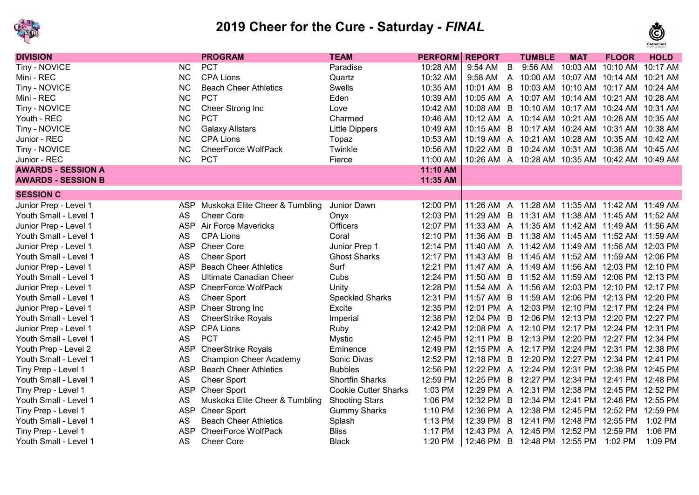



| <b>DIVISION</b>           |            | <b>PROGRAM</b>                 | <b>TEAM</b>                 | <b>PERFORM</b> | <b>REPORT</b> |                | <b>TUMBLE</b>                                  | <b>MAT</b>                          | <b>FLOOR</b>       | <b>HOLD</b> |
|---------------------------|------------|--------------------------------|-----------------------------|----------------|---------------|----------------|------------------------------------------------|-------------------------------------|--------------------|-------------|
| Tiny - NOVICE             | <b>NC</b>  | <b>PCT</b>                     | Paradise                    | 10:28 AM       | 9:54 AM       | B              | 9:56 AM                                        | 10:03 AM                            | 10:10 AM           | 10:17 AM    |
| Mini - REC                | <b>NC</b>  | <b>CPA Lions</b>               | Quartz                      | 10:32 AM       | 9:58 AM       | $\mathsf{A}$   | 10:00 AM                                       | 10:07 AM                            | 10:14 AM           | 10:21 AM    |
| Tiny - NOVICE             | <b>NC</b>  | <b>Beach Cheer Athletics</b>   | Swells                      | 10:35 AM       | 10:01 AM      | B              |                                                | 10:03 AM 10:10 AM 10:17 AM 10:24 AM |                    |             |
| Mini - REC                | <b>NC</b>  | <b>PCT</b>                     | Eden                        | 10:39 AM       | 10:05 AM      | $\mathsf{A}$   |                                                |                                     | 10:21 AM  10:28 AM |             |
| Tiny - NOVICE             | <b>NC</b>  | Cheer Strong Inc               | Love                        | 10:42 AM       | 10:08 AM      | B              |                                                | 10:10 AM 10:17 AM                   | 10:24 AM           | 10:31 AM    |
| Youth - REC               | <b>NC</b>  | <b>PCT</b>                     | Charmed                     | 10:46 AM       | 10:12 AM      | $\overline{A}$ |                                                | 10:14 AM 10:21 AM 10:28 AM 10:35 AM |                    |             |
| Tiny - NOVICE             | <b>NC</b>  | <b>Galaxy Allstars</b>         | <b>Little Dippers</b>       | 10:49 AM       | 10:15 AM      | B              |                                                | 10:17 AM 10:24 AM 10:31 AM 10:38 AM |                    |             |
| Junior - REC              | <b>NC</b>  | <b>CPA Lions</b>               | Topaz                       | 10:53 AM       | 10:19 AM      | $\overline{A}$ |                                                | 10:21 AM 10:28 AM 10:35 AM 10:42 AM |                    |             |
| Tiny - NOVICE             | <b>NC</b>  | <b>CheerForce WolfPack</b>     | Twinkle                     | 10:56 AM       | 10:22 AM B    |                | 10:24 AM 10:31 AM 10:38 AM 10:45 AM            |                                     |                    |             |
| Junior - REC              | NC         | <b>PCT</b>                     | Fierce                      | 11:00 AM       |               |                | 10:26 AM A 10:28 AM 10:35 AM 10:42 AM 10:49 AM |                                     |                    |             |
| <b>AWARDS - SESSION A</b> |            |                                |                             | 11:10 AM       |               |                |                                                |                                     |                    |             |
| <b>AWARDS - SESSION B</b> |            |                                |                             | 11:35 AM       |               |                |                                                |                                     |                    |             |
| <b>SESSION C</b>          |            |                                |                             |                |               |                |                                                |                                     |                    |             |
| Junior Prep - Level 1     | <b>ASP</b> | Muskoka Elite Cheer & Tumbling | Junior Dawn                 | 12:00 PM       |               |                | 11:26 AM A 11:28 AM 11:35 AM 11:42 AM 11:49 AM |                                     |                    |             |
| Youth Small - Level 1     | <b>AS</b>  | <b>Cheer Core</b>              | Onyx                        | 12:03 PM       |               |                | 11:29 AM B 11:31 AM 11:38 AM 11:45 AM 11:52 AM |                                     |                    |             |
| Junior Prep - Level 1     | <b>ASP</b> | Air Force Mavericks            | <b>Officers</b>             | 12:07 PM       |               |                | 11:33 AM A 11:35 AM 11:42 AM 11:49 AM 11:56 AM |                                     |                    |             |
| Youth Small - Level 1     | <b>AS</b>  | <b>CPA Lions</b>               | Coral                       | 12:10 PM       | 11:36 AM      | $\overline{B}$ | 11:38 AM 11:45 AM 11:52 AM 11:59 AM            |                                     |                    |             |
| Junior Prep - Level 1     | <b>ASP</b> | <b>Cheer Core</b>              | Junior Prep 1               | 12:14 PM       | 11:40 AM      |                | A 11:42 AM 11:49 AM 11:56 AM 12:03 PM          |                                     |                    |             |
| Youth Small - Level 1     | <b>AS</b>  | <b>Cheer Sport</b>             | <b>Ghost Sharks</b>         | 12:17 PM       | 11:43 AM      | B              |                                                | 11:45 AM 11:52 AM 11:59 AM 12:06 PM |                    |             |
| Junior Prep - Level 1     | <b>ASP</b> | <b>Beach Cheer Athletics</b>   | Surf                        | 12:21 PM       | 11:47 AM      | $\mathsf{A}$   | 11:49 AM 11:56 AM 12:03 PM 12:10 PM            |                                     |                    |             |
| Youth Small - Level 1     | <b>AS</b>  | <b>Ultimate Canadian Cheer</b> | Cubs                        | 12:24 PM       | 11:50 AM B    |                |                                                | 11:52 AM 11:59 AM 12:06 PM 12:13 PM |                    |             |
| Junior Prep - Level 1     | <b>ASP</b> | <b>CheerForce WolfPack</b>     | Unity                       | 12:28 PM       | 11:54 AM A    |                | 11:56 AM 12:03 PM 12:10 PM 12:17 PM            |                                     |                    |             |
| Youth Small - Level 1     | <b>AS</b>  | <b>Cheer Sport</b>             | <b>Speckled Sharks</b>      | 12:31 PM       | 11:57 AM B    |                | 11:59 AM 12:06 PM 12:13 PM 12:20 PM            |                                     |                    |             |
| Junior Prep - Level 1     | <b>ASP</b> | Cheer Strong Inc               | Excite                      | 12:35 PM       |               |                | 12:01 PM A 12:03 PM 12:10 PM 12:17 PM 12:24 PM |                                     |                    |             |
| Youth Small - Level 1     | <b>AS</b>  | <b>CheerStrike Royals</b>      | Imperial                    | 12:38 PM       | 12:04 PM B    |                | 12:06 PM 12:13 PM 12:20 PM 12:27 PM            |                                     |                    |             |
| Junior Prep - Level 1     | <b>ASP</b> | <b>CPA Lions</b>               | Ruby                        | 12:42 PM       |               |                | 12:08 PM A 12:10 PM 12:17 PM 12:24 PM 12:31 PM |                                     |                    |             |
| Youth Small - Level 1     | AS         | <b>PCT</b>                     | <b>Mystic</b>               | 12:45 PM       | 12:11 PM      | B              |                                                | 12:13 PM 12:20 PM 12:27 PM 12:34 PM |                    |             |
| Youth Prep - Level 2      | <b>ASP</b> | <b>CheerStrike Royals</b>      | Eminence                    | 12:49 PM       | 12:15 PM      | $\overline{A}$ | 12:17 PM 12:24 PM 12:31 PM 12:38 PM            |                                     |                    |             |
| Youth Small - Level 1     | <b>AS</b>  | <b>Champion Cheer Academy</b>  | Sonic Divas                 | 12:52 PM       | 12:18 PM      | B              |                                                | 12:20 PM 12:27 PM 12:34 PM 12:41 PM |                    |             |
| Tiny Prep - Level 1       | <b>ASP</b> | <b>Beach Cheer Athletics</b>   | <b>Bubbles</b>              | 12:56 PM       | 12:22 PM      | $\overline{A}$ |                                                | 12:24 PM 12:31 PM 12:38 PM 12:45 PM |                    |             |
| Youth Small - Level 1     | <b>AS</b>  | <b>Cheer Sport</b>             | <b>Shortfin Sharks</b>      | 12:59 PM       | 12:25 PM      | B              |                                                | 12:27 PM 12:34 PM 12:41 PM          |                    | 12:48 PM    |
| Tiny Prep - Level 1       | <b>ASP</b> | <b>Cheer Sport</b>             | <b>Cookie Cutter Sharks</b> | 1:03 PM        | 12:29 PM      | $\overline{A}$ | 12:31 PM                                       | 12:38 PM 12:45 PM 12:52 PM          |                    |             |
| Youth Small - Level 1     | <b>AS</b>  | Muskoka Elite Cheer & Tumbling | <b>Shooting Stars</b>       | 1:06 PM        | 12:32 PM      | $\overline{B}$ | 12:34 PM                                       | 12:41 PM                            | 12:48 PM 12:55 PM  |             |
| Tiny Prep - Level 1       | <b>ASP</b> | <b>Cheer Sport</b>             | <b>Gummy Sharks</b>         | 1:10 PM        | 12:36 PM      | $\mathsf{A}$   | 12:38 PM                                       | 12:45 PM 12:52 PM 12:59 PM          |                    |             |
| Youth Small - Level 1     | AS         | <b>Beach Cheer Athletics</b>   | Splash                      | 1:13 PM        | 12:39 PM      | B              | 12:41 PM                                       | 12:48 PM 12:55 PM                   |                    | 1:02 PM     |
| Tiny Prep - Level 1       | <b>ASP</b> | <b>CheerForce WolfPack</b>     | <b>Bliss</b>                | 1:17 PM        | 12:43 PM      | A              | 12:45 PM                                       | 12:52 PM                            | 12:59 PM           | 1:06 PM     |
| Youth Small - Level 1     | <b>AS</b>  | <b>Cheer Core</b>              | <b>Black</b>                | 1:20 PM        | 12:46 PM      | B              | 12:48 PM 12:55 PM                              |                                     | 1:02 PM            | 1:09 PM     |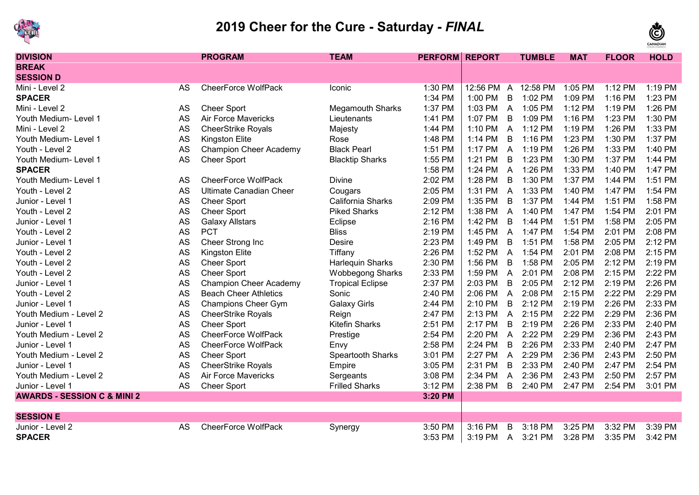



| <b>DIVISION</b>                        |           | <b>PROGRAM</b>                 | <b>TEAM</b>             | <b>PERFORM</b> | <b>REPORT</b> |                | <b>TUMBLE</b> | <b>MAT</b> | <b>FLOOR</b> | <b>HOLD</b> |
|----------------------------------------|-----------|--------------------------------|-------------------------|----------------|---------------|----------------|---------------|------------|--------------|-------------|
| <b>BREAK</b>                           |           |                                |                         |                |               |                |               |            |              |             |
| <b>SESSION D</b>                       |           |                                |                         |                |               |                |               |            |              |             |
| Mini - Level 2                         | AS        | <b>CheerForce WolfPack</b>     | Iconic                  | 1:30 PM        | 12:56 PM      | $\overline{A}$ | 12:58 PM      | 1:05 PM    | $1:12$ PM    | 1:19 PM     |
| <b>SPACER</b>                          |           |                                |                         | 1:34 PM        | 1:00 PM       | B              | 1:02 PM       | 1:09 PM    | 1:16 PM      | 1:23 PM     |
| Mini - Level 2                         | AS        | <b>Cheer Sport</b>             | <b>Megamouth Sharks</b> | 1:37 PM        | 1:03 PM       | A              | 1:05 PM       | 1:12 PM    | 1:19 PM      | 1:26 PM     |
| Youth Medium- Level 1                  | <b>AS</b> | <b>Air Force Mavericks</b>     | Lieutenants             | 1:41 PM        | 1:07 PM       | $\overline{B}$ | 1:09 PM       | 1:16 PM    | 1:23 PM      | 1:30 PM     |
| Mini - Level 2                         | AS        | <b>CheerStrike Royals</b>      | Majesty                 | 1:44 PM        | 1:10 PM       | $\overline{A}$ | 1:12 PM       | 1:19 PM    | 1:26 PM      | 1:33 PM     |
| Youth Medium- Level 1                  | <b>AS</b> | <b>Kingston Elite</b>          | Rose                    | 1:48 PM        | 1:14 PM       | B              | 1:16 PM       | 1:23 PM    | 1:30 PM      | 1:37 PM     |
| Youth - Level 2                        | AS        | <b>Champion Cheer Academy</b>  | <b>Black Pearl</b>      | 1:51 PM        | 1:17 PM       | $\overline{A}$ | 1:19 PM       | 1:26 PM    | 1:33 PM      | 1:40 PM     |
| Youth Medium- Level 1                  | <b>AS</b> | <b>Cheer Sport</b>             | <b>Blacktip Sharks</b>  | 1:55 PM        | 1:21 PM       | B              | 1:23 PM       | 1:30 PM    | 1:37 PM      | 1:44 PM     |
| <b>SPACER</b>                          |           |                                |                         | 1:58 PM        | 1:24 PM       | $\overline{A}$ | 1:26 PM       | 1:33 PM    | 1:40 PM      | 1:47 PM     |
| Youth Medium- Level 1                  | AS        | <b>CheerForce WolfPack</b>     | <b>Divine</b>           | 2:02 PM        | 1:28 PM       | B              | 1:30 PM       | 1:37 PM    | 1:44 PM      | 1:51 PM     |
| Youth - Level 2                        | <b>AS</b> | <b>Ultimate Canadian Cheer</b> | Cougars                 | 2:05 PM        | 1:31 PM       | $\overline{A}$ | 1:33 PM       | 1:40 PM    | 1:47 PM      | 1:54 PM     |
| Junior - Level 1                       | <b>AS</b> | <b>Cheer Sport</b>             | California Sharks       | 2:09 PM        | 1:35 PM       | B              | 1:37 PM       | 1:44 PM    | 1:51 PM      | 1:58 PM     |
| Youth - Level 2                        | <b>AS</b> | <b>Cheer Sport</b>             | <b>Piked Sharks</b>     | 2:12 PM        | 1:38 PM       | $\overline{A}$ | 1:40 PM       | 1:47 PM    | 1:54 PM      | 2:01 PM     |
| Junior - Level 1                       | <b>AS</b> | <b>Galaxy Allstars</b>         | Eclipse                 | 2:16 PM        | 1:42 PM       | B              | 1:44 PM       | 1:51 PM    | 1:58 PM      | 2:05 PM     |
| Youth - Level 2                        | <b>AS</b> | <b>PCT</b>                     | <b>Bliss</b>            | 2:19 PM        | 1:45 PM       | $\overline{A}$ | 1:47 PM       | 1:54 PM    | 2:01 PM      | 2:08 PM     |
| Junior - Level 1                       | <b>AS</b> | Cheer Strong Inc               | Desire                  | 2:23 PM        | 1:49 PM       | $\overline{B}$ | 1:51 PM       | 1:58 PM    | 2:05 PM      | 2:12 PM     |
| Youth - Level 2                        | <b>AS</b> | <b>Kingston Elite</b>          | Tiffany                 | 2:26 PM        | 1:52 PM       | $\mathsf{A}$   | 1:54 PM       | 2:01 PM    | 2:08 PM      | 2:15 PM     |
| Youth - Level 2                        | AS        | <b>Cheer Sport</b>             | Harlequin Sharks        | 2:30 PM        | 1:56 PM       | $\overline{B}$ | 1:58 PM       | 2:05 PM    | 2:12 PM      | 2:19 PM     |
| Youth - Level 2                        | AS        | <b>Cheer Sport</b>             | <b>Wobbegong Sharks</b> | 2:33 PM        | 1:59 PM       | A              | 2:01 PM       | 2:08 PM    | 2:15 PM      | 2:22 PM     |
| Junior - Level 1                       | AS        | <b>Champion Cheer Academy</b>  | <b>Tropical Eclipse</b> | 2:37 PM        | 2:03 PM       | B              | 2:05 PM       | 2:12 PM    | 2:19 PM      | 2:26 PM     |
| Youth - Level 2                        | AS        | <b>Beach Cheer Athletics</b>   | Sonic                   | 2:40 PM        | 2:06 PM       | A              | 2:08 PM       | 2:15 PM    | 2:22 PM      | 2:29 PM     |
| Junior - Level 1                       | AS        | <b>Champions Cheer Gym</b>     | <b>Galaxy Girls</b>     | 2:44 PM        | 2:10 PM       | B              | 2:12 PM       | 2:19 PM    | 2:26 PM      | 2:33 PM     |
| Youth Medium - Level 2                 | AS        | <b>CheerStrike Royals</b>      | Reign                   | 2:47 PM        | 2:13 PM       | $\overline{A}$ | 2:15 PM       | 2:22 PM    | 2:29 PM      | 2:36 PM     |
| Junior - Level 1                       | AS        | <b>Cheer Sport</b>             | <b>Kitefin Sharks</b>   | 2:51 PM        | 2:17 PM       | B              | 2:19 PM       | 2:26 PM    | 2:33 PM      | 2:40 PM     |
| Youth Medium - Level 2                 | AS        | <b>CheerForce WolfPack</b>     | Prestige                | 2:54 PM        | 2:20 PM       | $\overline{A}$ | 2:22 PM       | 2:29 PM    | 2:36 PM      | 2:43 PM     |
| Junior - Level 1                       | AS        | <b>CheerForce WolfPack</b>     | Envy                    | 2:58 PM        | 2:24 PM       | B              | 2:26 PM       | 2:33 PM    | 2:40 PM      | 2:47 PM     |
| Youth Medium - Level 2                 | AS        | <b>Cheer Sport</b>             | Speartooth Sharks       | 3:01 PM        | 2:27 PM       | $\overline{A}$ | 2:29 PM       | 2:36 PM    | 2:43 PM      | 2:50 PM     |
| Junior - Level 1                       | <b>AS</b> | <b>CheerStrike Royals</b>      | Empire                  | 3:05 PM        | 2:31 PM       | $\overline{B}$ | 2:33 PM       | 2:40 PM    | 2:47 PM      | 2:54 PM     |
| Youth Medium - Level 2                 | <b>AS</b> | <b>Air Force Mavericks</b>     | Sergeants               | 3:08 PM        | 2:34 PM       | $\overline{A}$ | 2:36 PM       | 2:43 PM    | 2:50 PM      | 2:57 PM     |
| Junior - Level 1                       | AS        | <b>Cheer Sport</b>             | <b>Frilled Sharks</b>   | 3:12 PM        | 2:38 PM       | B              | 2:40 PM       | 2:47 PM    | 2:54 PM      | 3:01 PM     |
| <b>AWARDS - SESSION C &amp; MINI 2</b> |           |                                |                         | 3:20 PM        |               |                |               |            |              |             |
|                                        |           |                                |                         |                |               |                |               |            |              |             |
| <b>SESSION E</b>                       |           |                                |                         |                |               |                |               |            |              |             |
| Junior - Level 2                       | <b>AS</b> | <b>CheerForce WolfPack</b>     | Synergy                 | 3:50 PM        | 3:16 PM       | B              | 3:18 PM       | 3:25 PM    | 3:32 PM      | 3:39 PM     |
| <b>SPACER</b>                          |           |                                |                         | 3:53 PM        | 3:19 PM       | A              | 3:21 PM       | 3:28 PM    | 3:35 PM      | 3:42 PM     |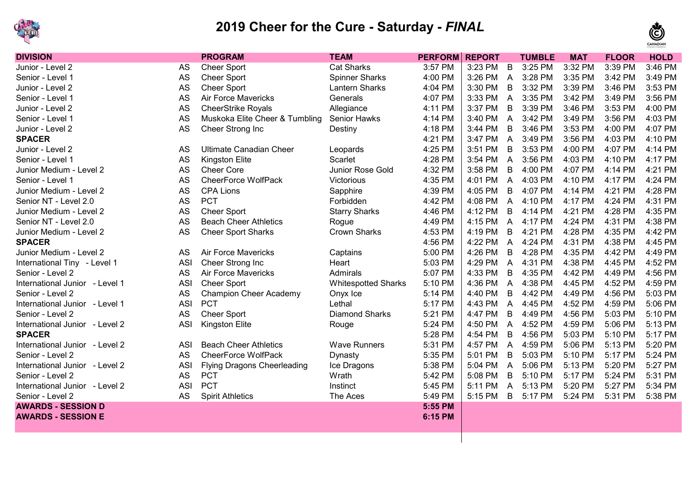



| <b>DIVISION</b>                |            | <b>PROGRAM</b>                     | <b>TEAM</b>                | <b>PERFORM</b> | <b>REPORT</b> |                | <b>TUMBLE</b> | <b>MAT</b> | <b>FLOOR</b> | <b>HOLD</b> |
|--------------------------------|------------|------------------------------------|----------------------------|----------------|---------------|----------------|---------------|------------|--------------|-------------|
| Junior - Level 2               | AS         | <b>Cheer Sport</b>                 | <b>Cat Sharks</b>          | 3:57 PM        | 3:23 PM       | B              | 3:25 PM       | 3:32 PM    | 3:39 PM      | 3:46 PM     |
| Senior - Level 1               | <b>AS</b>  | <b>Cheer Sport</b>                 | <b>Spinner Sharks</b>      | 4:00 PM        | 3:26 PM       | $\overline{A}$ | 3:28 PM       | 3:35 PM    | 3:42 PM      | 3:49 PM     |
| Junior - Level 2               | <b>AS</b>  | <b>Cheer Sport</b>                 | <b>Lantern Sharks</b>      | 4:04 PM        | 3:30 PM       | $\mathsf B$    | 3:32 PM       | 3:39 PM    | 3:46 PM      | 3:53 PM     |
| Senior - Level 1               | <b>AS</b>  | Air Force Mavericks                | Generals                   | 4:07 PM        | 3:33 PM       | $\overline{A}$ | 3:35 PM       | 3:42 PM    | 3:49 PM      | 3:56 PM     |
| Junior - Level 2               | <b>AS</b>  | <b>CheerStrike Royals</b>          | Allegiance                 | 4:11 PM        | 3:37 PM       | B              | 3:39 PM       | 3:46 PM    | 3:53 PM      | 4:00 PM     |
| Senior - Level 1               | <b>AS</b>  | Muskoka Elite Cheer & Tumbling     | <b>Senior Hawks</b>        | 4:14 PM        | 3:40 PM       | A              | 3:42 PM       | 3:49 PM    | 3:56 PM      | 4:03 PM     |
| Junior - Level 2               | <b>AS</b>  | Cheer Strong Inc                   | Destiny                    | 4:18 PM        | 3:44 PM       | B              | 3:46 PM       | 3:53 PM    | 4:00 PM      | 4:07 PM     |
| <b>SPACER</b>                  |            |                                    |                            | 4:21 PM        | 3:47 PM       | $\overline{A}$ | 3:49 PM       | 3:56 PM    | 4:03 PM      | 4:10 PM     |
| Junior - Level 2               | AS         | <b>Ultimate Canadian Cheer</b>     | Leopards                   | 4:25 PM        | 3:51 PM       | B              | 3:53 PM       | 4:00 PM    | 4:07 PM      | 4:14 PM     |
| Senior - Level 1               | <b>AS</b>  | Kingston Elite                     | Scarlet                    | 4:28 PM        | 3:54 PM       | $\overline{A}$ | 3:56 PM       | 4:03 PM    | 4:10 PM      | 4:17 PM     |
| Junior Medium - Level 2        | <b>AS</b>  | <b>Cheer Core</b>                  | Junior Rose Gold           | 4:32 PM        | 3:58 PM       | $\mathsf B$    | 4:00 PM       | 4:07 PM    | 4:14 PM      | 4:21 PM     |
| Senior - Level 1               | AS         | <b>CheerForce WolfPack</b>         | Victorious                 | 4:35 PM        | 4:01 PM       | $\overline{A}$ | 4:03 PM       | 4:10 PM    | 4:17 PM      | 4:24 PM     |
| Junior Medium - Level 2        | <b>AS</b>  | <b>CPA Lions</b>                   | Sapphire                   | 4:39 PM        | 4:05 PM       | $\mathsf B$    | 4:07 PM       | 4:14 PM    | 4:21 PM      | 4:28 PM     |
| Senior NT - Level 2.0          | <b>AS</b>  | <b>PCT</b>                         | Forbidden                  | 4:42 PM        | 4:08 PM       | A              | 4:10 PM       | 4:17 PM    | 4:24 PM      | 4:31 PM     |
| Junior Medium - Level 2        | <b>AS</b>  | <b>Cheer Sport</b>                 | <b>Starry Sharks</b>       | 4:46 PM        | 4:12 PM       | B              | 4:14 PM       | 4:21 PM    | 4:28 PM      | 4:35 PM     |
| Senior NT - Level 2.0          | <b>AS</b>  | <b>Beach Cheer Athletics</b>       | Rogue                      | 4:49 PM        | 4:15 PM       | $\overline{A}$ | 4:17 PM       | 4:24 PM    | 4:31 PM      | 4:38 PM     |
| Junior Medium - Level 2        | <b>AS</b>  | <b>Cheer Sport Sharks</b>          | <b>Crown Sharks</b>        | 4:53 PM        | 4:19 PM       | B              | 4:21 PM       | 4:28 PM    | 4:35 PM      | 4:42 PM     |
| <b>SPACER</b>                  |            |                                    |                            | 4:56 PM        | 4:22 PM       | A              | 4:24 PM       | 4:31 PM    | 4:38 PM      | 4:45 PM     |
| Junior Medium - Level 2        | AS         | <b>Air Force Mavericks</b>         | Captains                   | 5:00 PM        | 4:26 PM       | B              | 4:28 PM       | 4:35 PM    | 4:42 PM      | 4:49 PM     |
| International Tiny - Level 1   | <b>ASI</b> | Cheer Strong Inc                   | Heart                      | 5:03 PM        | 4:29 PM       | A              | 4:31 PM       | 4:38 PM    | 4:45 PM      | 4:52 PM     |
| Senior - Level 2               | <b>AS</b>  | <b>Air Force Mavericks</b>         | Admirals                   | 5:07 PM        | 4:33 PM       | B              | 4:35 PM       | 4:42 PM    | 4:49 PM      | 4:56 PM     |
| International Junior - Level 1 | <b>ASI</b> | <b>Cheer Sport</b>                 | <b>Whitespotted Sharks</b> | 5:10 PM        | 4:36 PM       | A              | 4:38 PM       | 4:45 PM    | 4:52 PM      | 4:59 PM     |
| Senior - Level 2               | <b>AS</b>  | <b>Champion Cheer Academy</b>      | Onyx Ice                   | 5:14 PM        | 4:40 PM       | B              | 4:42 PM       | 4:49 PM    | 4:56 PM      | 5:03 PM     |
| International Junior - Level 1 | <b>ASI</b> | <b>PCT</b>                         | Lethal                     | 5:17 PM        | 4:43 PM       | A              | 4:45 PM       | 4:52 PM    | 4:59 PM      | 5:06 PM     |
| Senior - Level 2               | <b>AS</b>  | <b>Cheer Sport</b>                 | <b>Diamond Sharks</b>      | 5:21 PM        | 4:47 PM       | B              | 4:49 PM       | 4:56 PM    | 5:03 PM      | 5:10 PM     |
| International Junior - Level 2 | <b>ASI</b> | <b>Kingston Elite</b>              | Rouge                      | 5:24 PM        | 4:50 PM       | $\overline{A}$ | 4:52 PM       | 4:59 PM    | 5:06 PM      | 5:13 PM     |
| <b>SPACER</b>                  |            |                                    |                            | 5:28 PM        | 4:54 PM       | B              | 4:56 PM       | 5:03 PM    | 5:10 PM      | 5:17 PM     |
| International Junior - Level 2 | <b>ASI</b> | <b>Beach Cheer Athletics</b>       | <b>Wave Runners</b>        | 5:31 PM        | 4:57 PM       | A              | 4:59 PM       | 5:06 PM    | 5:13 PM      | 5:20 PM     |
| Senior - Level 2               | <b>AS</b>  | <b>CheerForce WolfPack</b>         | Dynasty                    | 5:35 PM        | 5:01 PM       | B              | 5:03 PM       | 5:10 PM    | 5:17 PM      | 5:24 PM     |
| International Junior - Level 2 | <b>ASI</b> | <b>Flying Dragons Cheerleading</b> | Ice Dragons                | 5:38 PM        | 5:04 PM       | A              | 5:06 PM       | 5:13 PM    | 5:20 PM      | 5:27 PM     |
| Senior - Level 2               | AS         | <b>PCT</b>                         | Wrath                      | 5:42 PM        | 5:08 PM       | $\sf B$        | 5:10 PM       | 5:17 PM    | 5:24 PM      | 5:31 PM     |
| International Junior - Level 2 | <b>ASI</b> | <b>PCT</b>                         | Instinct                   | 5:45 PM        | 5:11 PM       | A              | 5:13 PM       | 5:20 PM    | 5:27 PM      | 5:34 PM     |
| Senior - Level 2               | AS         | <b>Spirit Athletics</b>            | The Aces                   | 5:49 PM        | 5:15 PM       | B              | 5:17 PM       | 5:24 PM    | 5:31 PM      | 5:38 PM     |
| <b>AWARDS - SESSION D</b>      |            |                                    |                            | 5:55 PM        |               |                |               |            |              |             |
| <b>AWARDS - SESSION E</b>      |            |                                    |                            | 6:15 PM        |               |                |               |            |              |             |
|                                |            |                                    |                            |                |               |                |               |            |              |             |
|                                |            |                                    |                            |                |               |                |               |            |              |             |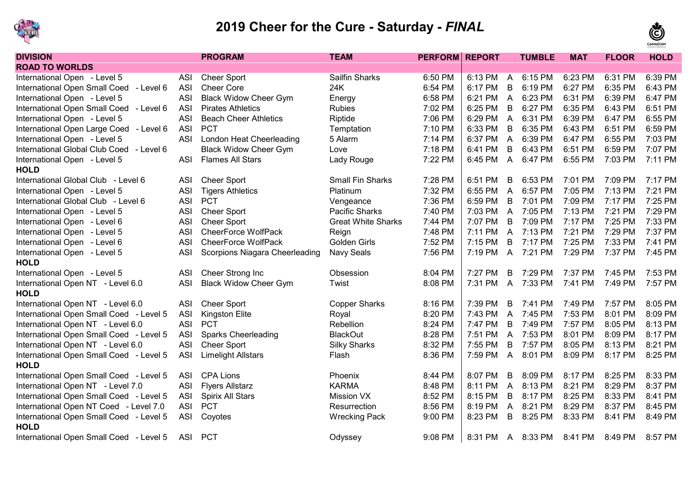



| <b>DIVISION</b>                          |            | <b>PROGRAM</b>                  | <b>TEAM</b>               | <b>PERFORM REPORT</b> |         |                | <b>TUMBLE</b> | <b>MAT</b> | <b>FLOOR</b> | <b>HOLD</b> |
|------------------------------------------|------------|---------------------------------|---------------------------|-----------------------|---------|----------------|---------------|------------|--------------|-------------|
| <b>ROAD TO WORLDS</b>                    |            |                                 |                           |                       |         |                |               |            |              |             |
| International Open - Level 5             | <b>ASI</b> | <b>Cheer Sport</b>              | Sailfin Sharks            | 6:50 PM               | 6:13 PM | $\mathsf{A}$   | 6:15 PM       | 6:23 PM    | 6:31 PM      | 6:39 PM     |
| International Open Small Coed - Level 6  | <b>ASI</b> | <b>Cheer Core</b>               | 24K                       | 6:54 PM               | 6:17 PM | B              | 6:19 PM       | 6:27 PM    | 6:35 PM      | 6:43 PM     |
| International Open - Level 5             | <b>ASI</b> | <b>Black Widow Cheer Gym</b>    | Energy                    | 6:58 PM               | 6:21 PM | $\mathsf{A}$   | 6:23 PM       | 6:31 PM    | 6:39 PM      | 6:47 PM     |
| International Open Small Coed - Level 6  | <b>ASI</b> | <b>Pirates Athletics</b>        | <b>Rubies</b>             | 7:02 PM               | 6:25 PM | B              | 6:27 PM       | 6:35 PM    | 6:43 PM      | 6:51 PM     |
| International Open - Level 5             | <b>ASI</b> | <b>Beach Cheer Athletics</b>    | Riptide                   | 7:06 PM               | 6:29 PM | $\overline{A}$ | 6:31 PM       | 6:39 PM    | 6:47 PM      | 6:55 PM     |
| International Open Large Coed - Level 6  | <b>ASI</b> | <b>PCT</b>                      | Temptation                | 7:10 PM               | 6:33 PM | B              | 6:35 PM       | 6:43 PM    | 6:51 PM      | 6:59 PM     |
| International Open - Level 5             | <b>ASI</b> | <b>London Heat Cheerleading</b> | 5 Alarm                   | 7:14 PM               | 6:37 PM | $\overline{A}$ | 6:39 PM       | 6:47 PM    | 6:55 PM      | 7:03 PM     |
| International Global Club Coed - Level 6 |            | <b>Black Widow Cheer Gym</b>    | Love                      | 7:18 PM               | 6:41 PM | B              | 6:43 PM       | 6:51 PM    | 6:59 PM      | 7:07 PM     |
| International Open - Level 5             | <b>ASI</b> | <b>Flames All Stars</b>         | Lady Rouge                | 7:22 PM               | 6:45 PM | $\overline{A}$ | 6:47 PM       | 6:55 PM    | 7:03 PM      | 7:11 PM     |
| <b>HOLD</b>                              |            |                                 |                           |                       |         |                |               |            |              |             |
| International Global Club - Level 6      | <b>ASI</b> | <b>Cheer Sport</b>              | <b>Small Fin Sharks</b>   | 7:28 PM               | 6:51 PM | B              | 6:53 PM       | 7:01 PM    | 7:09 PM      | 7:17 PM     |
| International Open - Level 5             | <b>ASI</b> | <b>Tigers Athletics</b>         | Platinum                  | 7:32 PM               | 6:55 PM | $\overline{A}$ | 6:57 PM       | 7:05 PM    | 7:13 PM      | 7:21 PM     |
| International Global Club - Level 6      | <b>ASI</b> | <b>PCT</b>                      | Vengeance                 | 7:36 PM               | 6:59 PM | $\overline{B}$ | 7:01 PM       | 7:09 PM    | 7:17 PM      | 7:25 PM     |
| International Open - Level 5             | <b>ASI</b> | <b>Cheer Sport</b>              | Pacific Sharks            | 7:40 PM               | 7:03 PM | $\mathsf{A}$   | 7:05 PM       | 7:13 PM    | 7:21 PM      | 7:29 PM     |
| International Open - Level 6             | <b>ASI</b> | <b>Cheer Sport</b>              | <b>Great White Sharks</b> | 7:44 PM               | 7:07 PM | $\overline{B}$ | 7:09 PM       | 7:17 PM    | 7:25 PM      | 7:33 PM     |
| International Open - Level 5             | <b>ASI</b> | <b>CheerForce WolfPack</b>      | Reign                     | 7:48 PM               | 7:11 PM | $\overline{A}$ | 7:13 PM       | 7:21 PM    | 7:29 PM      | 7:37 PM     |
| International Open - Level 6             | <b>ASI</b> | <b>CheerForce WolfPack</b>      | <b>Golden Girls</b>       | 7:52 PM               | 7:15 PM | B              | 7:17 PM       | 7:25 PM    | 7:33 PM      | 7:41 PM     |
| International Open - Level 5             | <b>ASI</b> | Scorpions Niagara Cheerleading  | Navy Seals                | 7:56 PM               | 7:19 PM | $\overline{A}$ | 7:21 PM       | 7:29 PM    | 7:37 PM      | 7:45 PM     |
| <b>HOLD</b>                              |            |                                 |                           |                       |         |                |               |            |              |             |
| International Open - Level 5             | <b>ASI</b> | Cheer Strong Inc                | Obsession                 | 8:04 PM               | 7:27 PM | B              | 7:29 PM       | 7:37 PM    | 7:45 PM      | 7:53 PM     |
| International Open NT - Level 6.0        | <b>ASI</b> | <b>Black Widow Cheer Gym</b>    | Twist                     | 8:08 PM               | 7:31 PM | $\mathsf{A}$   | 7:33 PM       | 7:41 PM    | 7:49 PM      | 7:57 PM     |
| <b>HOLD</b>                              |            |                                 |                           |                       |         |                |               |            |              |             |
| International Open NT - Level 6.0        | <b>ASI</b> | <b>Cheer Sport</b>              | <b>Copper Sharks</b>      | 8:16 PM               | 7:39 PM | B              | 7:41 PM       | 7:49 PM    | 7:57 PM      | 8:05 PM     |
| International Open Small Coed - Level 5  | <b>ASI</b> | Kingston Elite                  | Royal                     | 8:20 PM               | 7:43 PM | $\mathsf{A}$   | 7:45 PM       | 7:53 PM    | 8:01 PM      | 8:09 PM     |
| International Open NT - Level 6.0        | <b>ASI</b> | <b>PCT</b>                      | Rebellion                 | 8:24 PM               | 7:47 PM | B              | 7:49 PM       | 7:57 PM    | 8:05 PM      | 8:13 PM     |
| International Open Small Coed - Level 5  | <b>ASI</b> | <b>Sparks Cheerleading</b>      | <b>BlackOut</b>           | 8:28 PM               | 7:51 PM | $\overline{A}$ | 7:53 PM       | 8:01 PM    | 8:09 PM      | 8:17 PM     |
| International Open NT - Level 6.0        | <b>ASI</b> | <b>Cheer Sport</b>              | <b>Silky Sharks</b>       | 8:32 PM               | 7:55 PM | B              | 7:57 PM       | 8:05 PM    | 8:13 PM      | 8:21 PM     |
| International Open Small Coed - Level 5  | <b>ASI</b> | <b>Limelight Allstars</b>       | Flash                     | 8:36 PM               | 7:59 PM | $\overline{A}$ | 8:01 PM       | 8:09 PM    | 8:17 PM      | 8:25 PM     |
| <b>HOLD</b>                              |            |                                 |                           |                       |         |                |               |            |              |             |
| International Open Small Coed - Level 5  | <b>ASI</b> | <b>CPA Lions</b>                | Phoenix                   | 8:44 PM               | 8:07 PM | B              | 8:09 PM       | 8:17 PM    | 8:25 PM      | 8:33 PM     |
| International Open NT - Level 7.0        | <b>ASI</b> | <b>Flyers Allstarz</b>          | <b>KARMA</b>              | 8:48 PM               | 8:11 PM | $\overline{A}$ | 8:13 PM       | 8:21 PM    | 8:29 PM      | 8:37 PM     |
| International Open Small Coed - Level 5  | <b>ASI</b> | Spirix All Stars                | <b>Mission VX</b>         | 8:52 PM               | 8:15 PM | $\overline{B}$ | 8:17 PM       | 8:25 PM    | 8:33 PM      | 8:41 PM     |
| International Open NT Coed - Level 7.0   | <b>ASI</b> | <b>PCT</b>                      | Resurrection              | 8:56 PM               | 8:19 PM | $\overline{A}$ | 8:21 PM       | 8:29 PM    | 8:37 PM      | 8:45 PM     |
| International Open Small Coed - Level 5  | <b>ASI</b> | Coyotes                         | <b>Wrecking Pack</b>      | 9:00 PM               | 8:23 PM | B              | 8:25 PM       | 8:33 PM    | 8:41 PM      | 8:49 PM     |
| <b>HOLD</b>                              |            |                                 |                           |                       |         |                |               |            |              |             |
| International Open Small Coed - Level 5  | <b>ASI</b> | <b>PCT</b>                      | Odyssey                   | 9:08 PM               | 8:31 PM | $\mathsf{A}$   | 8:33 PM       | 8:41 PM    | 8:49 PM      | 8:57 PM     |